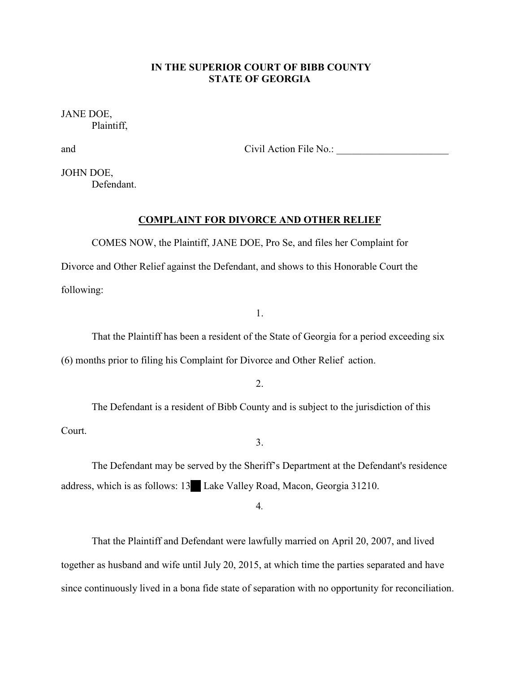# **IN THE SUPERIOR COURT OF BIBB COUNTY STATE OF GEORGIA**

JANE DOE, Plaintiff,

and Civil Action File No.:

JOHN DOE, Defendant.

## **COMPLAINT FOR DIVORCE AND OTHER RELIEF**

 COMES NOW, the Plaintiff, JANE DOE, Pro Se, and files her Complaint for Divorce and Other Relief against the Defendant, and shows to this Honorable Court the following:

1.

That the Plaintiff has been a resident of the State of Georgia for a period exceeding six (6) months prior to filing his Complaint for Divorce and Other Relief action.

2.

The Defendant is a resident of Bibb County and is subject to the jurisdiction of this Court.

3.

The Defendant may be served by the Sheriff's Department at the Defendant's residence address, which is as follows: 13 Lake Valley Road, Macon, Georgia 31210.

4*.*

 That the Plaintiff and Defendant were lawfully married on April 20, 2007, and lived together as husband and wife until July 20, 2015, at which time the parties separated and have since continuously lived in a bona fide state of separation with no opportunity for reconciliation.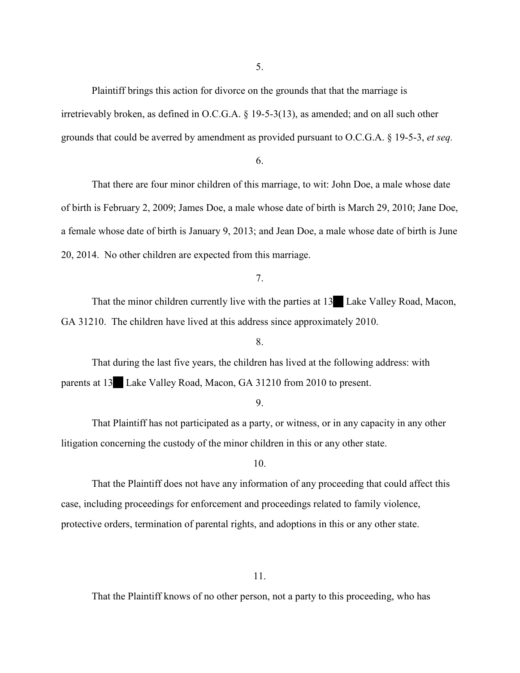5.

 Plaintiff brings this action for divorce on the grounds that that the marriage is irretrievably broken, as defined in O.C.G.A. § 19-5-3(13), as amended; and on all such other grounds that could be averred by amendment as provided pursuant to O.C.G.A. § 19-5-3, *et seq.* 

6.

 That there are four minor children of this marriage, to wit: John Doe, a male whose date of birth is February 2, 2009; James Doe, a male whose date of birth is March 29, 2010; Jane Doe, a female whose date of birth is January 9, 2013; and Jean Doe, a male whose date of birth is June 20, 2014. No other children are expected from this marriage.

7.

That the minor children currently live with the parties at 13<sup>6</sup> Lake Valley Road, Macon, GA 31210. The children have lived at this address since approximately 2010.

8.

 That during the last five years, the children has lived at the following address: with parents at 13 Lake Valley Road, Macon, GA 31210 from 2010 to present.

9.

 That Plaintiff has not participated as a party, or witness, or in any capacity in any other litigation concerning the custody of the minor children in this or any other state.

10.

 That the Plaintiff does not have any information of any proceeding that could affect this case, including proceedings for enforcement and proceedings related to family violence, protective orders, termination of parental rights, and adoptions in this or any other state.

11.

That the Plaintiff knows of no other person, not a party to this proceeding, who has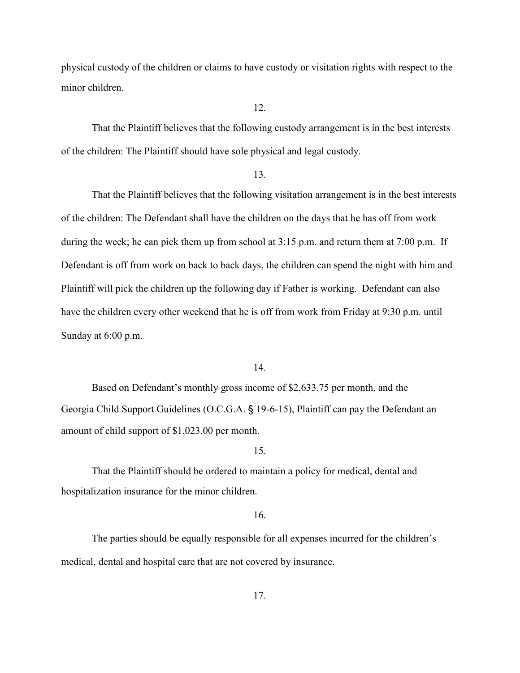physical custody of the children or claims to have custody or visitation rights with respect to the minor children.

12.

 That the Plaintiff believes that the following custody arrangement is in the best interests of the children: The Plaintiff should have sole physical and legal custody.

## 13.

 That the Plaintiff believes that the following visitation arrangement is in the best interests of the children: The Defendant shall have the children on the days that he has off from work during the week; he can pick them up from school at  $3:15$  p.m. and return them at  $7:00$  p.m. If Defendant is off from work on back to back days, the children can spend the night with him and Plaintiff will pick the children up the following day if Father is working. Defendant can also have the children every other weekend that he is off from work from Friday at 9:30 p.m. until Sunday at 6:00 p.m.

### 14.

 Based on Defendant's monthly gross income of \$2,633.75 per month, and the Georgia Child Support Guidelines (O.C.G.A. § 19-6-15), Plaintiff can pay the Defendant an amount of child support of \$1,023.00 per month.

## 15.

 That the Plaintiff should be ordered to maintain a policy for medical, dental and hospitalization insurance for the minor children.

## 16.

The parties should be equally responsible for all expenses incurred for the children's medical, dental and hospital care that are not covered by insurance.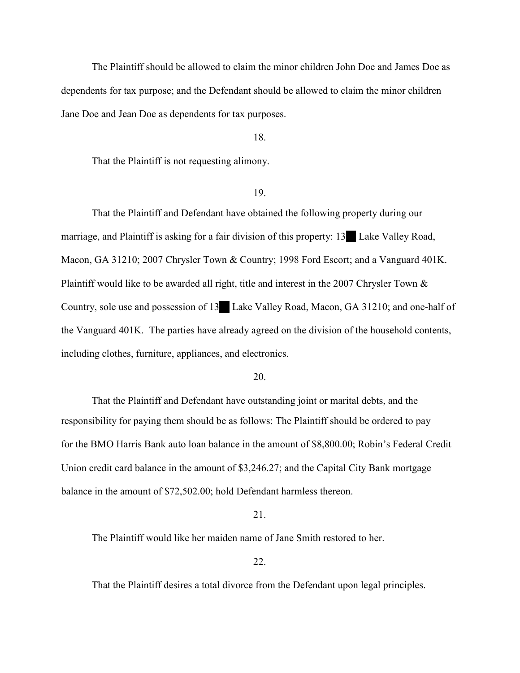The Plaintiff should be allowed to claim the minor children John Doe and James Doe as dependents for tax purpose; and the Defendant should be allowed to claim the minor children Jane Doe and Jean Doe as dependents for tax purposes.

#### 18.

That the Plaintiff is not requesting alimony.

# 19.

 That the Plaintiff and Defendant have obtained the following property during our marriage, and Plaintiff is asking for a fair division of this property: 13 Lake Valley Road, Macon, GA 31210; 2007 Chrysler Town & Country; 1998 Ford Escort; and a Vanguard 401K. Plaintiff would like to be awarded all right, title and interest in the 2007 Chrysler Town & Country, sole use and possession of 13<sup>6</sup> Lake Valley Road, Macon, GA 31210; and one-half of the Vanguard 401K. The parties have already agreed on the division of the household contents, including clothes, furniture, appliances, and electronics.

#### 20.

 That the Plaintiff and Defendant have outstanding joint or marital debts, and the responsibility for paying them should be as follows: The Plaintiff should be ordered to pay for the BMO Harris Bank auto loan balance in the amount of \$8,800.00; Robin's Federal Credit Union credit card balance in the amount of \$3,246.27; and the Capital City Bank mortgage balance in the amount of \$72,502.00; hold Defendant harmless thereon.

### 21.

The Plaintiff would like her maiden name of Jane Smith restored to her.

22.

That the Plaintiff desires a total divorce from the Defendant upon legal principles.